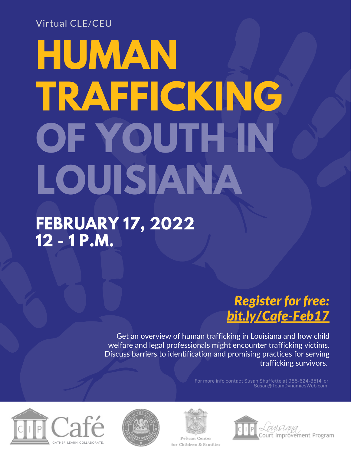### Virtual CLE/CEU

# **HUMAN TRAFFICKING OF YOUTH IN LOUISIANA**

### **FEBRUARY 17, 2022 12 - 1 P.M.**

### *Register for free: [bit.ly/Cafe-Feb17](http://bit.ly/Cafe-Feb17)*

Get an overview of human trafficking in Louisiana and how child welfare and legal professionals might encounter trafficking victims. Discuss barriers to identification and promising practices for serving trafficking survivors.

> For more info contact Susan Shaffette at 985-624-3514 or Susan@TeamDynamicsWeb.com







Pelican Center for Children & Families

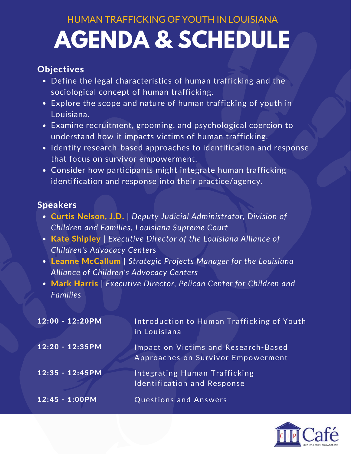## **AGENDA & SCHEDULE** HUMAN TRAFFICKING OF YOUTH IN LOUISIANA

#### **Objectives**

- Define the legal characteristics of human trafficking and the sociological concept of human trafficking.
- Explore the scope and nature of human trafficking of youth in Louisiana.
- Examine recruitment, grooming, and psychological coercion to understand how it impacts victims of human trafficking.
- $\bullet$  Identify research-based approaches to identification and response that focus on survivor empowerment.
- Consider how participants might integrate human trafficking identification and response into their practice/agency.

#### Speakers

- Curtis Nelson, J.D. | *Deputy Judicial Administrator, Division of Children and Families, Louisiana Supreme Court*
- Kate Shipley | *Executive Director of the Louisiana Alliance of Children's Advocacy Centers*
- Leanne McCallum | *Strategic Projects Manager for the Louisiana Alliance of Children's Advocacy Centers*
- Mark Harris | *Executive Director, Pelican Center for Children and Families*

| $12:00 - 12:20PM$ | Introduction to Human Trafficking of Youth<br>in Louisiana                 |
|-------------------|----------------------------------------------------------------------------|
| $12:20 - 12:35PM$ | Impact on Victims and Research-Based<br>Approaches on Survivor Empowerment |
| $12:35 - 12:45PM$ | <b>Integrating Human Trafficking</b><br><b>Identification and Response</b> |
| $12:45 - 1:00PM$  | <b>Questions and Answers</b>                                               |

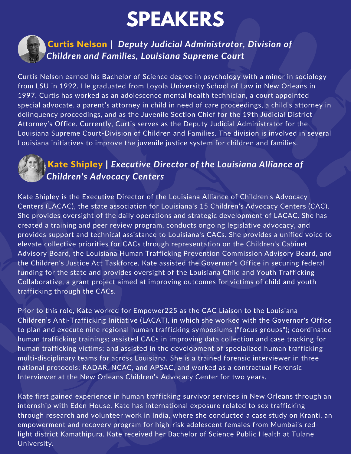# **SPEAKERS**



### Curtis Nelson **|** *Deputy Judicial Administrator, Division of Children and Families, Louisiana Supreme Court*

Curtis Nelson earned his Bachelor of Science degree in psychology with a minor in sociology from LSU in 1992. He graduated from Loyola University School of Law in New Orleans in 1997. Curtis has worked as an adolescence mental health technician, a court appointed special advocate, a parent's attorney in child in need of care proceedings, a child's attorney in delinquency proceedings, and as the Juvenile Section Chief for the 19th Judicial District Attorney's Office. Currently, Curtis serves as the Deputy Judicial Administrator for the Louisiana Supreme Court-Division of Children and Families. The division is involved in several Louisiana initiatives to improve the juvenile justice system for children and families.



### Kate Shipley | *Executive Director of the Louisiana Alliance of Children's Advocacy Centers*

Kate Shipley is the Executive Director of the Louisiana Alliance of Children's Advocacy Centers (LACAC), the state association for Louisiana's 15 Children's Advocacy Centers (CAC). She provides oversight of the daily operations and strategic development of LACAC. She has created a training and peer review program, conducts ongoing legislative advocacy, and provides support and technical assistance to Louisiana's CACs. She provides a unified voice to elevate collective priorities for CACs through representation on the Children's Cabinet Advisory Board, the Louisiana Human Trafficking Prevention Commission Advisory Board, and the Children's Justice Act Taskforce. Kate assisted the Governor's Office in securing federal funding for the state and provides oversight of the Louisiana Child and Youth Trafficking Collaborative, a grant project aimed at improving outcomes for victims of child and youth trafficking through the CACs.

Prior to this role, Kate worked for Empower225 as the CAC Liaison to the Louisiana Children's Anti-Trafficking Initiative (LACAT), in which she worked with the Governor's Office to plan and execute nine regional human trafficking symposiums ("focus groups"); coordinated human trafficking trainings; assisted CACs in improving data collection and case tracking for human trafficking victims; and assisted in the development of specialized human trafficking multi-disciplinary teams for across Louisiana. She is a trained forensic interviewer in three national protocols; RADAR, NCAC, and APSAC, and worked as a contractual Forensic Interviewer at the New Orleans Children's Advocacy Center for two years.

Kate first gained experience in human trafficking survivor services in New Orleans through an internship with Eden House. Kate has international exposure related to sex trafficking through research and volunteer work in India, where she conducted a case study on Kranti, an empowerment and recovery program for high-risk adolescent females from Mumbai's redlight district Kamathipura. Kate received her Bachelor of Science Public Health at Tulane University.